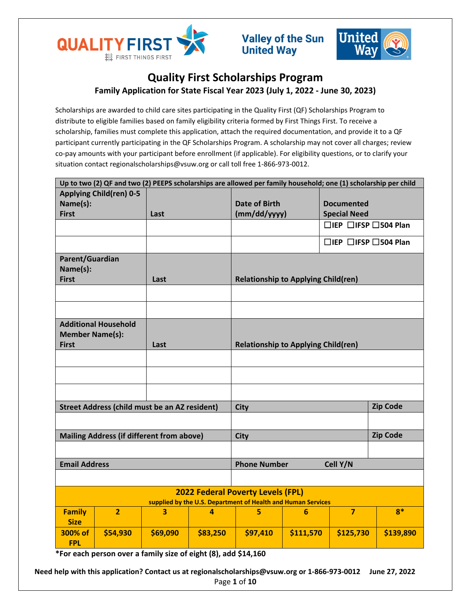



# **Quality First Scholarships Program Family Application for State Fiscal Year 2023 (July 1, 2022 - June 30, 2023)**

Scholarships are awarded to child care sites participating in the Quality First (QF) Scholarships Program to distribute to eligible families based on family eligibility criteria formed by First Things First. To receive a scholarship, families must complete this application, attach the required documentation, and provide it to a QF participant currently participating in the QF Scholarships Program. A scholarship may not cover all charges; review co-pay amounts with your participant before enrollment (if applicable). For eligibility questions, or to clarify your situation contact regionalscholarships@vsuw.org or call toll free 1-866-973-0012.

| Up to two (2) QF and two (2) PEEPS scholarships are allowed per family household; one (1) scholarship per child |                             |          |                                 |                                                              |                      |                                        |                   |  |  |
|-----------------------------------------------------------------------------------------------------------------|-----------------------------|----------|---------------------------------|--------------------------------------------------------------|----------------------|----------------------------------------|-------------------|--|--|
| <b>Applying Child(ren) 0-5</b>                                                                                  |                             |          |                                 |                                                              |                      |                                        |                   |  |  |
| Name(s):                                                                                                        |                             |          |                                 |                                                              | <b>Date of Birth</b> |                                        | <b>Documented</b> |  |  |
|                                                                                                                 | <b>First</b>                |          | Last                            |                                                              | (mm/dd/yyyy)         | <b>Special Need</b>                    |                   |  |  |
|                                                                                                                 |                             |          |                                 |                                                              |                      | $\Box$ IEP $\Box$ IFSP $\Box$ 504 Plan |                   |  |  |
|                                                                                                                 |                             |          |                                 |                                                              |                      | $\Box$ IEP $\Box$ IFSP $\Box$ 504 Plan |                   |  |  |
| Parent/Guardian                                                                                                 |                             |          |                                 |                                                              |                      |                                        |                   |  |  |
| Name(s):                                                                                                        |                             |          |                                 |                                                              |                      |                                        |                   |  |  |
| <b>First</b>                                                                                                    |                             | Last     |                                 | <b>Relationship to Applying Child(ren)</b>                   |                      |                                        |                   |  |  |
|                                                                                                                 |                             |          |                                 |                                                              |                      |                                        |                   |  |  |
|                                                                                                                 |                             |          |                                 |                                                              |                      |                                        |                   |  |  |
|                                                                                                                 | <b>Additional Household</b> |          |                                 |                                                              |                      |                                        |                   |  |  |
| <b>Member Name(s):</b>                                                                                          |                             |          |                                 |                                                              |                      |                                        |                   |  |  |
| <b>First</b>                                                                                                    |                             | Last     |                                 | <b>Relationship to Applying Child(ren)</b>                   |                      |                                        |                   |  |  |
|                                                                                                                 |                             |          |                                 |                                                              |                      |                                        |                   |  |  |
|                                                                                                                 |                             |          |                                 |                                                              |                      |                                        |                   |  |  |
|                                                                                                                 |                             |          |                                 |                                                              |                      |                                        |                   |  |  |
| <b>Street Address (child must be an AZ resident)</b>                                                            |                             |          |                                 | <b>City</b>                                                  |                      | <b>Zip Code</b>                        |                   |  |  |
|                                                                                                                 |                             |          |                                 |                                                              |                      |                                        |                   |  |  |
| <b>Mailing Address (if different from above)</b>                                                                |                             |          |                                 | <b>City</b>                                                  |                      |                                        | <b>Zip Code</b>   |  |  |
|                                                                                                                 |                             |          |                                 |                                                              |                      |                                        |                   |  |  |
| <b>Email Address</b>                                                                                            |                             |          | Cell Y/N<br><b>Phone Number</b> |                                                              |                      |                                        |                   |  |  |
|                                                                                                                 |                             |          |                                 |                                                              |                      |                                        |                   |  |  |
| <b>2022 Federal Poverty Levels (FPL)</b>                                                                        |                             |          |                                 |                                                              |                      |                                        |                   |  |  |
|                                                                                                                 |                             |          |                                 | supplied by the U.S. Department of Health and Human Services |                      |                                        |                   |  |  |
| <b>Family</b>                                                                                                   | $\overline{2}$              | 3        | 4                               | 5                                                            | 6                    | $\overline{7}$                         | $8*$              |  |  |
| <b>Size</b>                                                                                                     |                             |          |                                 |                                                              |                      |                                        |                   |  |  |
| 300% of                                                                                                         | \$54,930                    | \$69,090 | \$83,250                        | \$97,410                                                     | \$111,570            | \$125,730                              | \$139,890         |  |  |
| <b>FPL</b>                                                                                                      |                             |          |                                 |                                                              |                      |                                        |                   |  |  |

**\*For each person over a family size of eight (8), add \$14,160**

**Need help with this application? Contact us at regionalscholarships@vsuw.org or 1-866-973-0012 June 27, 2022** Page **1** of **10**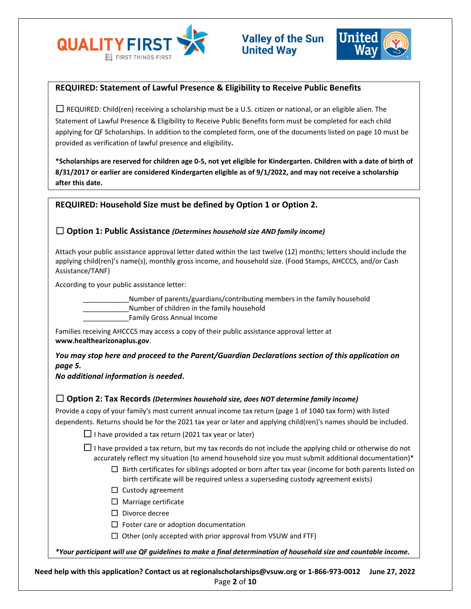



# **REQUIRED: Statement of Lawful Presence & Eligibility to Receive Public Benefits**

 $\Box$  REQUIRED: Child(ren) receiving a scholarship must be a U.S. citizen or national, or an eligible alien. The Statement of Lawful Presence & Eligibility to Receive Public Benefits form must be completed for each child applying for QF Scholarships. In addition to the completed form, one of the documents listed on page 10 must be provided as verification of lawful presence and eligibility**.** 

**\*Scholarships are reserved for children age 0-5, not yet eligible for Kindergarten. Children with a date of birth of 8/31/2017 or earlier are considered Kindergarten eligible as of 9/1/2022, and may not receive a scholarship after this date.**

# **REQUIRED: Household Size must be defined by Option 1 or Option 2.**

# ☐ **Option 1: Public Assistance** *(Determines household size AND family income)*

Attach your public assistance approval letter dated within the last twelve (12) months; letters should include the applying child(ren)'s name(s), monthly gross income, and household size. (Food Stamps, AHCCCS, and/or Cash Assistance/TANF)

According to your public assistance letter:

Number of parents/guardians/contributing members in the family household Number of children in the family household

\_\_\_\_\_\_\_\_\_\_\_\_Family Gross Annual Income

Families receiving AHCCCS may access a copy of their public assistance approval letter at **www.healthearizonaplus.gov**.

*You may stop here and proceed to the Parent/Guardian Declarations section of this application on page 5.* 

*No additional information is needed***.**

## ☐ **Option 2: Tax Records** *(Determines household size, does NOT determine family income)*

Provide a copy of your family's most current annual income tax return (page 1 of 1040 tax form) with listed dependents. Returns should be for the 2021 tax year or later and applying child(ren)'s names should be included.

 $\Box$  I have provided a tax return (2021 tax year or later)

 $□$  I have provided a tax return, but my tax records do not include the applying child or otherwise do not accurately reflect my situation (to amend household size you must submit additional documentation)\*

- $\Box$  Birth certificates for siblings adopted or born after tax year (income for both parents listed on birth certificate will be required unless a superseding custody agreement exists)
- □ Custody agreement
- □ Marriage certificate
- ☐ Divorce decree
- $\Box$  Foster care or adoption documentation
- $\Box$  Other (only accepted with prior approval from VSUW and FTF)

*\*Your participant will use QF guidelines to make a final determination of household size and countable income.*

**Need help with this application? Contact us at regionalscholarships@vsuw.org or 1-866-973-0012 June 27, 2022** Page **2** of **10**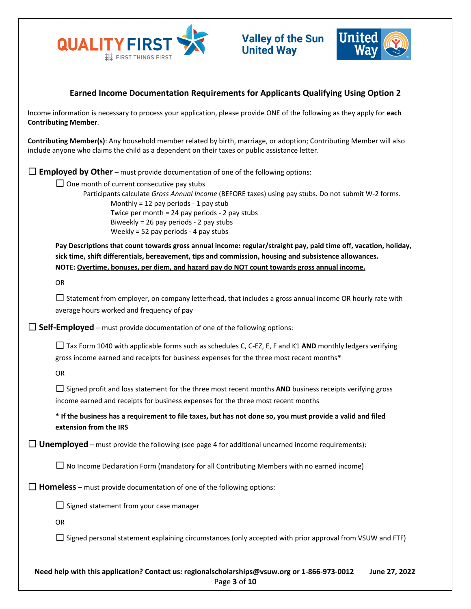



# **Earned Income Documentation Requirements for Applicants Qualifying Using Option 2**

Income information is necessary to process your application, please provide ONE of the following as they apply for **each Contributing Member**.

**Contributing Member(s)**: Any household member related by birth, marriage, or adoption; Contributing Member will also include anyone who claims the child as a dependent on their taxes or public assistance letter.

 $\Box$  **Employed by Other** – must provide documentation of one of the following options:

 $\Box$  One month of current consecutive pay stubs

Participants calculate *Gross Annual Income* (BEFORE taxes) using pay stubs. Do not submit W-2 forms. Monthly = 12 pay periods - 1 pay stub Twice per month = 24 pay periods - 2 pay stubs Biweekly = 26 pay periods - 2 pay stubs Weekly = 52 pay periods - 4 pay stubs

**Pay Descriptions that count towards gross annual income: regular/straight pay, paid time off, vacation, holiday, sick time, shift differentials, bereavement, tips and commission, housing and subsistence allowances. NOTE: Overtime, bonuses, per diem, and hazard pay do NOT count towards gross annual income.**

OR

 $\Box$  Statement from employer, on company letterhead, that includes a gross annual income OR hourly rate with average hours worked and frequency of pay

 $\Box$  **Self-Employed** – must provide documentation of one of the following options:

☐ Tax Form 1040 with applicable forms such as schedules C, C-EZ, E, F and K1 **AND** monthly ledgers verifying gross income earned and receipts for business expenses for the three most recent months**\***

OR

☐ Signed profit and loss statement for the three most recent months **AND** business receipts verifying gross income earned and receipts for business expenses for the three most recent months

**\* If the business has a requirement to file taxes, but has not done so, you must provide a valid and filed extension from the IRS**

 $\Box$  **Unemployed** – must provide the following (see page 4 for additional unearned income requirements):

 $\Box$  No Income Declaration Form (mandatory for all Contributing Members with no earned income)

 $\Box$  **Homeless** – must provide documentation of one of the following options:

☐ Signed statement from your case manager

OR

 $\Box$  Signed personal statement explaining circumstances (only accepted with prior approval from VSUW and FTF)

**Need help with this application? Contact us: regionalscholarships@vsuw.org or 1-866-973-0012 June 27, 2022** Page **3** of **10**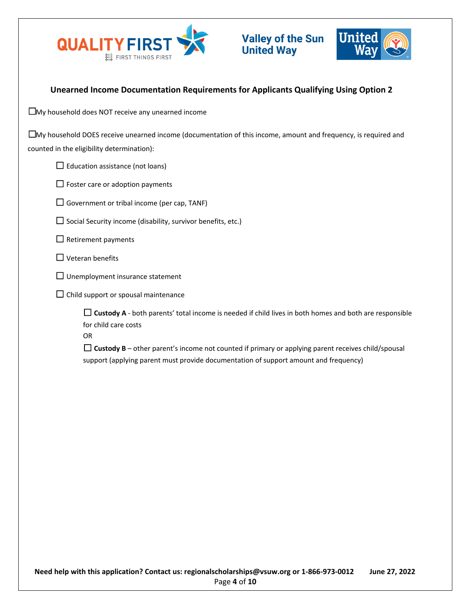



# **Unearned Income Documentation Requirements for Applicants Qualifying Using Option 2**

☐My household does NOT receive any unearned income

☐My household DOES receive unearned income (documentation of this income, amount and frequency, is required and counted in the eligibility determination):

 $\Box$  Education assistance (not loans)

 $\Box$  Foster care or adoption payments

- $\Box$  Government or tribal income (per cap, TANF)
- $\Box$  Social Security income (disability, survivor benefits, etc.)
- $\Box$  Retirement payments
- $\Box$  Veteran benefits
- $\Box$  Unemployment insurance statement
- $\Box$  Child support or spousal maintenance

□ **Custody A** - both parents' total income is needed if child lives in both homes and both are responsible for child care costs

OR

 $\Box$  Custody B – other parent's income not counted if primary or applying parent receives child/spousal support (applying parent must provide documentation of support amount and frequency)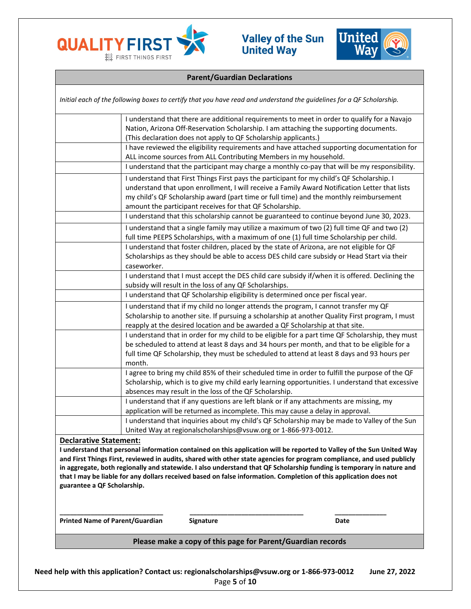



# **Parent/Guardian Declarations**

|                                        | Initial each of the following boxes to certify that you have read and understand the guidelines for a QF Scholarship.                                                                                                                                                                                                                                                                                                                                                                         |  |  |  |  |  |
|----------------------------------------|-----------------------------------------------------------------------------------------------------------------------------------------------------------------------------------------------------------------------------------------------------------------------------------------------------------------------------------------------------------------------------------------------------------------------------------------------------------------------------------------------|--|--|--|--|--|
|                                        | I understand that there are additional requirements to meet in order to qualify for a Navajo<br>Nation, Arizona Off-Reservation Scholarship. I am attaching the supporting documents.<br>(This declaration does not apply to QF Scholarship applicants.)                                                                                                                                                                                                                                      |  |  |  |  |  |
|                                        | I have reviewed the eligibility requirements and have attached supporting documentation for<br>ALL income sources from ALL Contributing Members in my household.                                                                                                                                                                                                                                                                                                                              |  |  |  |  |  |
|                                        | I understand that the participant may charge a monthly co-pay that will be my responsibility.                                                                                                                                                                                                                                                                                                                                                                                                 |  |  |  |  |  |
|                                        | I understand that First Things First pays the participant for my child's QF Scholarship. I<br>understand that upon enrollment, I will receive a Family Award Notification Letter that lists<br>my child's QF Scholarship award (part time or full time) and the monthly reimbursement<br>amount the participant receives for that QF Scholarship.                                                                                                                                             |  |  |  |  |  |
|                                        | I understand that this scholarship cannot be guaranteed to continue beyond June 30, 2023.                                                                                                                                                                                                                                                                                                                                                                                                     |  |  |  |  |  |
|                                        | I understand that a single family may utilize a maximum of two (2) full time QF and two (2)<br>full time PEEPS Scholarships, with a maximum of one (1) full time Scholarship per child.                                                                                                                                                                                                                                                                                                       |  |  |  |  |  |
|                                        | I understand that foster children, placed by the state of Arizona, are not eligible for QF<br>Scholarships as they should be able to access DES child care subsidy or Head Start via their<br>caseworker.                                                                                                                                                                                                                                                                                     |  |  |  |  |  |
|                                        | I understand that I must accept the DES child care subsidy if/when it is offered. Declining the<br>subsidy will result in the loss of any QF Scholarships.                                                                                                                                                                                                                                                                                                                                    |  |  |  |  |  |
|                                        | I understand that QF Scholarship eligibility is determined once per fiscal year.                                                                                                                                                                                                                                                                                                                                                                                                              |  |  |  |  |  |
|                                        | I understand that if my child no longer attends the program, I cannot transfer my QF                                                                                                                                                                                                                                                                                                                                                                                                          |  |  |  |  |  |
|                                        | Scholarship to another site. If pursuing a scholarship at another Quality First program, I must<br>reapply at the desired location and be awarded a QF Scholarship at that site.                                                                                                                                                                                                                                                                                                              |  |  |  |  |  |
|                                        | I understand that in order for my child to be eligible for a part time QF Scholarship, they must                                                                                                                                                                                                                                                                                                                                                                                              |  |  |  |  |  |
|                                        | be scheduled to attend at least 8 days and 34 hours per month, and that to be eligible for a<br>full time QF Scholarship, they must be scheduled to attend at least 8 days and 93 hours per                                                                                                                                                                                                                                                                                                   |  |  |  |  |  |
|                                        | month.                                                                                                                                                                                                                                                                                                                                                                                                                                                                                        |  |  |  |  |  |
|                                        | I agree to bring my child 85% of their scheduled time in order to fulfill the purpose of the QF<br>Scholarship, which is to give my child early learning opportunities. I understand that excessive                                                                                                                                                                                                                                                                                           |  |  |  |  |  |
|                                        | absences may result in the loss of the QF Scholarship.                                                                                                                                                                                                                                                                                                                                                                                                                                        |  |  |  |  |  |
|                                        | I understand that if any questions are left blank or if any attachments are missing, my<br>application will be returned as incomplete. This may cause a delay in approval.                                                                                                                                                                                                                                                                                                                    |  |  |  |  |  |
|                                        | I understand that inquiries about my child's QF Scholarship may be made to Valley of the Sun                                                                                                                                                                                                                                                                                                                                                                                                  |  |  |  |  |  |
|                                        | United Way at regionalscholarships@vsuw.org or 1-866-973-0012.                                                                                                                                                                                                                                                                                                                                                                                                                                |  |  |  |  |  |
| <b>Declarative Statement:</b>          |                                                                                                                                                                                                                                                                                                                                                                                                                                                                                               |  |  |  |  |  |
| guarantee a QF Scholarship.            | I understand that personal information contained on this application will be reported to Valley of the Sun United Way<br>and First Things First, reviewed in audits, shared with other state agencies for program compliance, and used publicly<br>in aggregate, both regionally and statewide. I also understand that QF Scholarship funding is temporary in nature and<br>that I may be liable for any dollars received based on false information. Completion of this application does not |  |  |  |  |  |
| <b>Printed Name of Parent/Guardian</b> | <b>Signature</b><br>Date                                                                                                                                                                                                                                                                                                                                                                                                                                                                      |  |  |  |  |  |
|                                        | Please make a copy of this page for Parent/Guardian records                                                                                                                                                                                                                                                                                                                                                                                                                                   |  |  |  |  |  |
|                                        |                                                                                                                                                                                                                                                                                                                                                                                                                                                                                               |  |  |  |  |  |
|                                        |                                                                                                                                                                                                                                                                                                                                                                                                                                                                                               |  |  |  |  |  |

**Need help with this application? Contact us: regionalscholarships@vsuw.org or 1-866-973-0012 June 27, 2022** Page **5** of **10**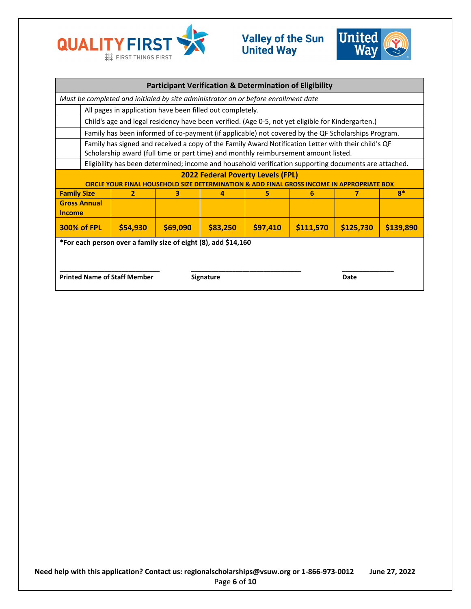



| <b>Participant Verification &amp; Determination of Eligibility</b>                                                                |                                                                                                                                                                                            |          |          |          |          |           |           |           |  |
|-----------------------------------------------------------------------------------------------------------------------------------|--------------------------------------------------------------------------------------------------------------------------------------------------------------------------------------------|----------|----------|----------|----------|-----------|-----------|-----------|--|
| Must be completed and initialed by site administrator on or before enrollment date                                                |                                                                                                                                                                                            |          |          |          |          |           |           |           |  |
|                                                                                                                                   | All pages in application have been filled out completely.                                                                                                                                  |          |          |          |          |           |           |           |  |
|                                                                                                                                   | Child's age and legal residency have been verified. (Age 0-5, not yet eligible for Kindergarten.)                                                                                          |          |          |          |          |           |           |           |  |
|                                                                                                                                   | Family has been informed of co-payment (if applicable) not covered by the QF Scholarships Program.                                                                                         |          |          |          |          |           |           |           |  |
|                                                                                                                                   | Family has signed and received a copy of the Family Award Notification Letter with their child's QF<br>Scholarship award (full time or part time) and monthly reimbursement amount listed. |          |          |          |          |           |           |           |  |
|                                                                                                                                   | Eligibility has been determined; income and household verification supporting documents are attached.                                                                                      |          |          |          |          |           |           |           |  |
| <b>2022 Federal Poverty Levels (FPL)</b><br><b>OPRIATE BOX</b>                                                                    |                                                                                                                                                                                            |          |          |          |          |           |           |           |  |
| <b>Family Size</b>                                                                                                                |                                                                                                                                                                                            | 2        | з        | 4        | 5.       | 6         | 7         | $R^*$     |  |
| <b>Income</b>                                                                                                                     | <b>Gross Annual</b>                                                                                                                                                                        |          |          |          |          |           |           |           |  |
|                                                                                                                                   | <b>300% of FPL</b>                                                                                                                                                                         | \$54,930 | \$69,090 | \$83,250 | \$97,410 | \$111,570 | \$125,730 | \$139,890 |  |
| *For each person over a family size of eight (8), add \$14,160<br><b>Printed Name of Staff Member</b><br><b>Signature</b><br>Date |                                                                                                                                                                                            |          |          |          |          |           |           |           |  |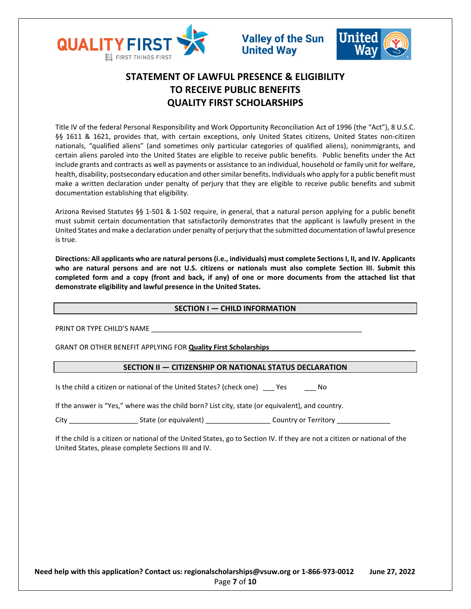



# **STATEMENT OF LAWFUL PRESENCE & ELIGIBILITY TO RECEIVE PUBLIC BENEFITS QUALITY FIRST SCHOLARSHIPS**

Title IV of the federal Personal Responsibility and Work Opportunity Reconciliation Act of 1996 (the "Act"), 8 U.S.C. §§ 1611 & 1621, provides that, with certain exceptions, only United States citizens, United States non-citizen nationals, "qualified aliens" (and sometimes only particular categories of qualified aliens), nonimmigrants, and certain aliens paroled into the United States are eligible to receive public benefits. Public benefits under the Act include grants and contracts as well as payments or assistance to an individual, household or family unit for welfare, health, disability, postsecondary education and other similar benefits. Individuals who apply for a public benefit must make a written declaration under penalty of perjury that they are eligible to receive public benefits and submit documentation establishing that eligibility.

Arizona Revised Statutes §§ 1-501 & 1-502 require, in general, that a natural person applying for a public benefit must submit certain documentation that satisfactorily demonstrates that the applicant is lawfully present in the United States and make a declaration under penalty of perjury that the submitted documentation of lawful presence is true.

**Directions: All applicants who are natural persons (i.e., individuals) must complete Sections I, II, and IV. Applicants who are natural persons and are not U.S. citizens or nationals must also complete Section III. Submit this completed form and a copy (front and back, if any) of one or more documents from the attached list that demonstrate eligibility and lawful presence in the United States.** 

## **SECTION I — CHILD INFORMATION**

PRINT OR TYPE CHILD'S NAME

GRANT OR OTHER BENEFIT APPLYING FOR **Quality First Scholarships**

# **SECTION II — CITIZENSHIP OR NATIONAL STATUS DECLARATION**

Is the child a citizen or national of the United States? (check one) \_\_\_ Yes \_\_\_ No

If the answer is "Yes," where was the child born? List city, state (or equivalent), and country.

City \_\_\_\_\_\_\_\_\_\_\_\_\_\_\_\_\_\_\_\_\_\_\_\_\_\_\_State (or equivalent) \_\_\_\_\_\_\_\_\_\_\_\_\_\_\_\_\_\_\_\_\_\_\_\_\_\_ Country or Territory

If the child is a citizen or national of the United States, go to Section IV. If they are not a citizen or national of the United States, please complete Sections III and IV.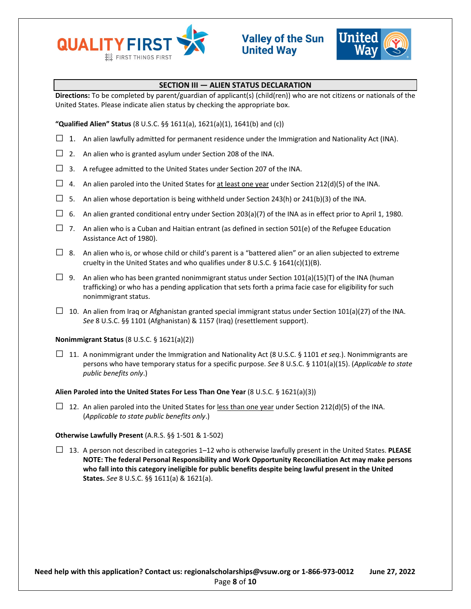



## **SECTION III — ALIEN STATUS DECLARATION**

**Directions:** To be completed by parent/guardian of applicant(s) (child(ren)) who are not citizens or nationals of the United States. Please indicate alien status by checking the appropriate box.

**"Qualified Alien" Status** (8 U.S.C. §§ 1611(a), 1621(a)(1), 1641(b) and (c))

- $\square$  1. An alien lawfully admitted for permanent residence under the Immigration and Nationality Act (INA).
- $\Box$  2. An alien who is granted asylum under Section 208 of the INA.
- $\Box$  3. A refugee admitted to the United States under Section 207 of the INA.
- $\Box$  4. An alien paroled into the United States for at least one year under Section 212(d)(5) of the INA.
- $\Box$  5. An alien whose deportation is being withheld under Section 243(h) or 241(b)(3) of the INA.
- $\Box$  6. An alien granted conditional entry under Section 203(a)(7) of the INA as in effect prior to April 1, 1980.
- $\Box$  7. An alien who is a Cuban and Haitian entrant (as defined in section 501(e) of the Refugee Education Assistance Act of 1980).
- $\Box$  8. An alien who is, or whose child or child's parent is a "battered alien" or an alien subjected to extreme cruelty in the United States and who qualifies under 8 U.S.C. § 1641(c)(1)(B).
- □ 9. An alien who has been granted nonimmigrant status under Section 101(a)(15)(T) of the INA (human trafficking) or who has a pending application that sets forth a prima facie case for eligibility for such nonimmigrant status.
- $\Box$  10. An alien from Iraq or Afghanistan granted special immigrant status under Section 101(a)(27) of the INA. *See* 8 U.S.C. §§ 1101 (Afghanistan) & 1157 (Iraq) (resettlement support).

## **Nonimmigrant Status** (8 U.S.C. § 1621(a)(2))

□ 11. A nonimmigrant under the Immigration and Nationality Act (8 U.S.C. § 1101 *et seq.*). Nonimmigrants are persons who have temporary status for a specific purpose. *See* 8 U.S.C. § 1101(a)(15). (*Applicable to state public benefits only*.)

## **Alien Paroled into the United States For Less Than One Year** (8 U.S.C. § 1621(a)(3))

 $\Box$  12. An alien paroled into the United States for less than one year under Section 212(d)(5) of the INA. (*Applicable to state public benefits only*.)

## **Otherwise Lawfully Present** (A.R.S. §§ 1-501 & 1-502)

□ 13. A person not described in categories 1–12 who is otherwise lawfully present in the United States. **PLEASE NOTE: The federal Personal Responsibility and Work Opportunity Reconciliation Act may make persons who fall into this category ineligible for public benefits despite being lawful present in the United States.** *See* 8 U.S.C. §§ 1611(a) & 1621(a).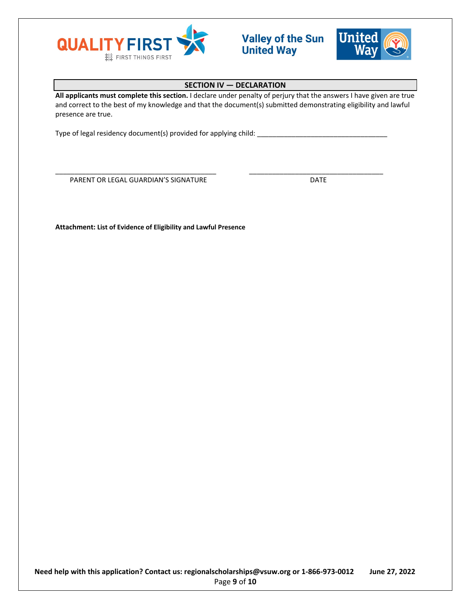



# **SECTION IV — DECLARATION**

**All applicants must complete this section.** I declare under penalty of perjury that the answers I have given are true and correct to the best of my knowledge and that the document(s) submitted demonstrating eligibility and lawful presence are true.

\_\_\_\_\_\_\_\_\_\_\_\_\_\_\_\_\_\_\_\_\_\_\_\_\_\_\_\_\_\_\_\_\_\_\_\_\_\_\_\_\_\_ \_\_\_\_\_\_\_\_\_\_\_\_\_\_\_\_\_\_\_\_\_\_\_\_\_\_\_\_\_\_\_\_\_\_\_

Type of legal residency document(s) provided for applying child: \_\_\_\_\_\_\_\_\_\_\_\_\_\_\_\_\_\_\_\_\_\_\_\_\_\_\_\_\_\_\_\_\_\_

PARENT OR LEGAL GUARDIAN'S SIGNATURE **Example 20 SIGNATURE** 

**Attachment: List of Evidence of Eligibility and Lawful Presence**